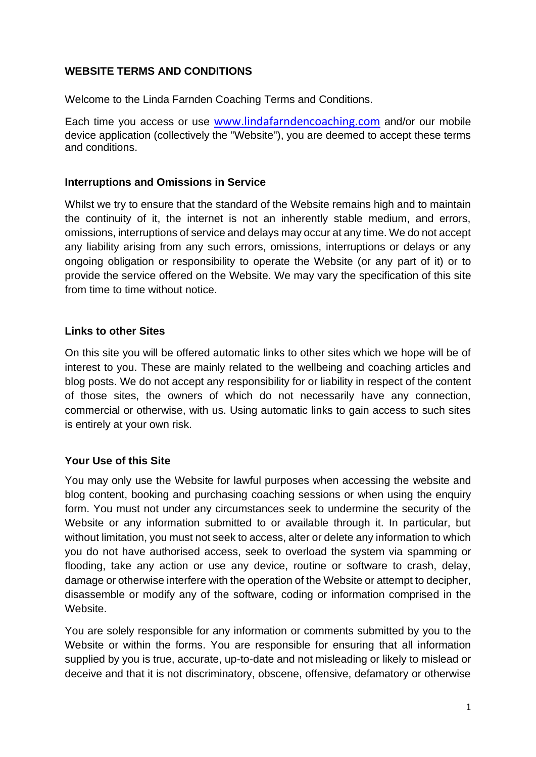## **WEBSITE TERMS AND CONDITIONS**

Welcome to the Linda Farnden Coaching Terms and Conditions.

Each time you access or use [www.lindafarndencoaching.com](http://www.lindafarndencoaching.com/) and/or our mobile device application (collectively the "Website"), you are deemed to accept these terms and conditions.

## **Interruptions and Omissions in Service**

Whilst we try to ensure that the standard of the Website remains high and to maintain the continuity of it, the internet is not an inherently stable medium, and errors, omissions, interruptions of service and delays may occur at any time. We do not accept any liability arising from any such errors, omissions, interruptions or delays or any ongoing obligation or responsibility to operate the Website (or any part of it) or to provide the service offered on the Website. We may vary the specification of this site from time to time without notice.

### **Links to other Sites**

On this site you will be offered automatic links to other sites which we hope will be of interest to you. These are mainly related to the wellbeing and coaching articles and blog posts. We do not accept any responsibility for or liability in respect of the content of those sites, the owners of which do not necessarily have any connection, commercial or otherwise, with us. Using automatic links to gain access to such sites is entirely at your own risk.

## **Your Use of this Site**

You may only use the Website for lawful purposes when accessing the website and blog content, booking and purchasing coaching sessions or when using the enquiry form. You must not under any circumstances seek to undermine the security of the Website or any information submitted to or available through it. In particular, but without limitation, you must not seek to access, alter or delete any information to which you do not have authorised access, seek to overload the system via spamming or flooding, take any action or use any device, routine or software to crash, delay, damage or otherwise interfere with the operation of the Website or attempt to decipher, disassemble or modify any of the software, coding or information comprised in the Website.

You are solely responsible for any information or comments submitted by you to the Website or within the forms. You are responsible for ensuring that all information supplied by you is true, accurate, up-to-date and not misleading or likely to mislead or deceive and that it is not discriminatory, obscene, offensive, defamatory or otherwise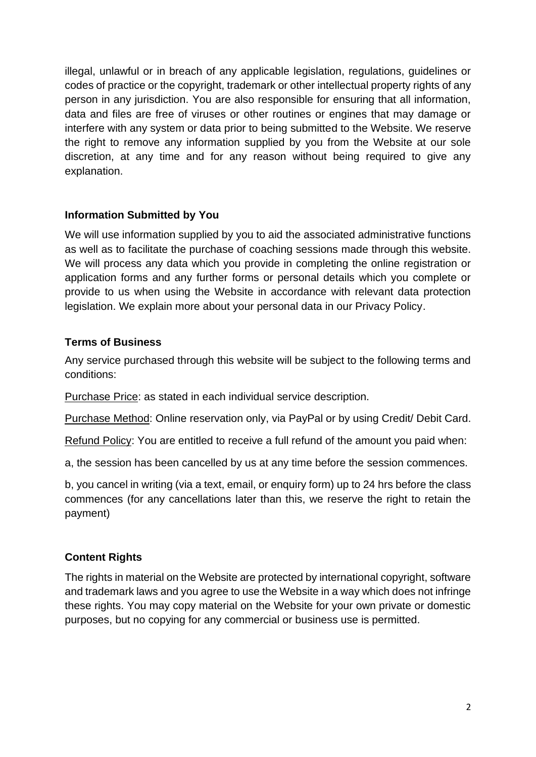illegal, unlawful or in breach of any applicable legislation, regulations, guidelines or codes of practice or the copyright, trademark or other intellectual property rights of any person in any jurisdiction. You are also responsible for ensuring that all information, data and files are free of viruses or other routines or engines that may damage or interfere with any system or data prior to being submitted to the Website. We reserve the right to remove any information supplied by you from the Website at our sole discretion, at any time and for any reason without being required to give any explanation.

## **Information Submitted by You**

We will use information supplied by you to aid the associated administrative functions as well as to facilitate the purchase of coaching sessions made through this website. We will process any data which you provide in completing the online registration or application forms and any further forms or personal details which you complete or provide to us when using the Website in accordance with relevant data protection legislation. We explain more about your personal data in our Privacy Policy.

# **Terms of Business**

Any service purchased through this website will be subject to the following terms and conditions:

Purchase Price: as stated in each individual service description.

Purchase Method: Online reservation only, via PayPal or by using Credit/ Debit Card.

Refund Policy: You are entitled to receive a full refund of the amount you paid when:

a, the session has been cancelled by us at any time before the session commences.

b, you cancel in writing (via a text, email, or enquiry form) up to 24 hrs before the class commences (for any cancellations later than this, we reserve the right to retain the payment)

# **Content Rights**

The rights in material on the Website are protected by international copyright, software and trademark laws and you agree to use the Website in a way which does not infringe these rights. You may copy material on the Website for your own private or domestic purposes, but no copying for any commercial or business use is permitted.